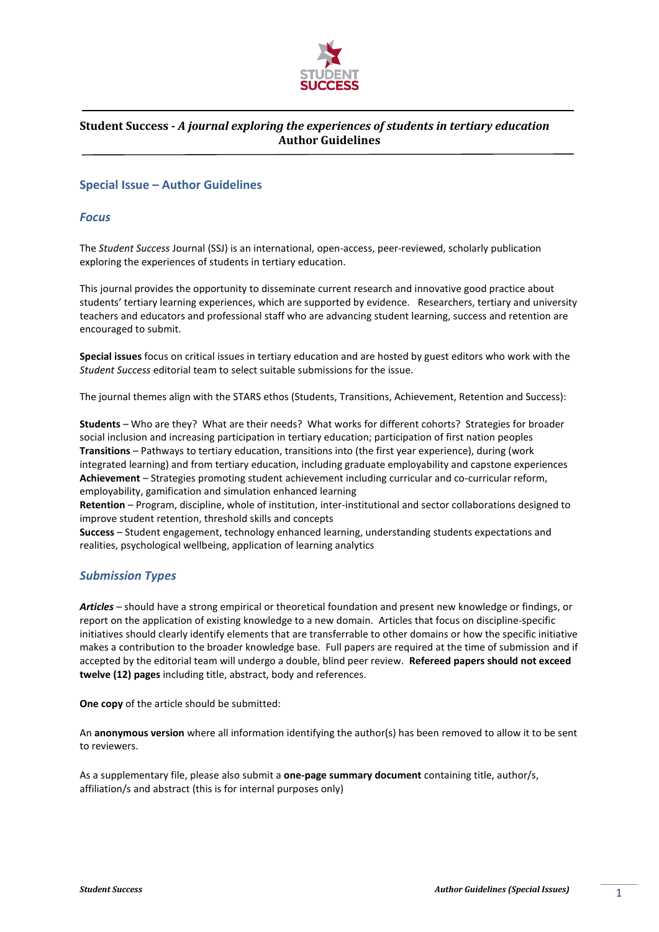

### **Special Issue – Author Guidelines**

#### *Focus*

The *Student Success* Journal (SSJ) is an international, open-access, peer-reviewed, scholarly publication exploring the experiences of students in tertiary education.

This journal provides the opportunity to disseminate current research and innovative good practice about students' tertiary learning experiences, which are supported by evidence. Researchers, tertiary and university teachers and educators and professional staff who are advancing student learning, success and retention are encouraged to submit.

**Special issues** focus on critical issues in tertiary education and are hosted by guest editors who work with the *Student Success* editorial team to select suitable submissions for the issue.

The journal themes align with the STARS ethos (Students, Transitions, Achievement, Retention and Success):

**Students** – Who are they? What are their needs? What works for different cohorts? Strategies for broader social inclusion and increasing participation in tertiary education; participation of first nation peoples **Transitions** – Pathways to tertiary education, transitions into (the first year experience), during (work integrated learning) and from tertiary education, including graduate employability and capstone experiences **Achievement** – Strategies promoting student achievement including curricular and co-curricular reform, employability, gamification and simulation enhanced learning

**Retention** – Program, discipline, whole of institution, inter-institutional and sector collaborations designed to improve student retention, threshold skills and concepts

**Success** – Student engagement, technology enhanced learning, understanding students expectations and realities, psychological wellbeing, application of learning analytics

### *Submission Types*

*Articles* – should have a strong empirical or theoretical foundation and present new knowledge or findings, or report on the application of existing knowledge to a new domain. Articles that focus on discipline-specific initiatives should clearly identify elements that are transferrable to other domains or how the specific initiative makes a contribution to the broader knowledge base. Full papers are required at the time of submission and if accepted by the editorial team will undergo a double, blind peer review. **Refereed papers should not exceed twelve (12) pages** including title, abstract, body and references.

**One copy** of the article should be submitted:

An **anonymous version** where all information identifying the author(s) has been removed to allow it to be sent to reviewers.

As a supplementary file, please also submit a **one-page summary document** containing title, author/s, affiliation/s and abstract (this is for internal purposes only)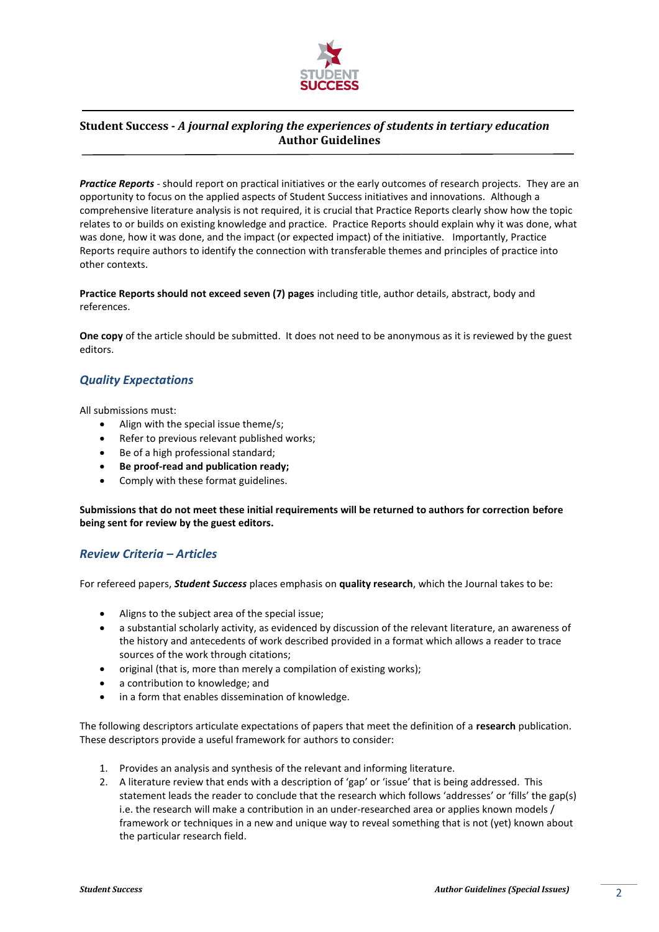

*Practice Reports* - should report on practical initiatives or the early outcomes of research projects. They are an opportunity to focus on the applied aspects of Student Success initiatives and innovations. Although a comprehensive literature analysis is not required, it is crucial that Practice Reports clearly show how the topic relates to or builds on existing knowledge and practice. Practice Reports should explain why it was done, what was done, how it was done, and the impact (or expected impact) of the initiative. Importantly, Practice Reports require authors to identify the connection with transferable themes and principles of practice into other contexts.

**Practice Reports should not exceed seven (7) pages** including title, author details, abstract, body and references.

**One copy** of the article should be submitted. It does not need to be anonymous as it is reviewed by the guest editors.

## *Quality Expectations*

All submissions must:

- Align with the special issue theme/s;
- Refer to previous relevant published works;
- Be of a high professional standard;
- **Be proof-read and publication ready;**
- Comply with these format guidelines.

**Submissions that do not meet these initial requirements will be returned to authors for correction before being sent for review by the guest editors.**

### *Review Criteria – Articles*

For refereed papers, *Student Success* places emphasis on **quality research**, which the Journal takes to be:

- Aligns to the subject area of the special issue;
- a substantial scholarly activity, as evidenced by discussion of the relevant literature, an awareness of the history and antecedents of work described provided in a format which allows a reader to trace sources of the work through citations;
- original (that is, more than merely a compilation of existing works);
- a contribution to knowledge; and
- in a form that enables dissemination of knowledge.

The following descriptors articulate expectations of papers that meet the definition of a **research** publication. These descriptors provide a useful framework for authors to consider:

- 1. Provides an analysis and synthesis of the relevant and informing literature.
- 2. A literature review that ends with a description of 'gap' or 'issue' that is being addressed. This statement leads the reader to conclude that the research which follows 'addresses' or 'fills' the gap(s) i.e. the research will make a contribution in an under-researched area or applies known models / framework or techniques in a new and unique way to reveal something that is not (yet) known about the particular research field.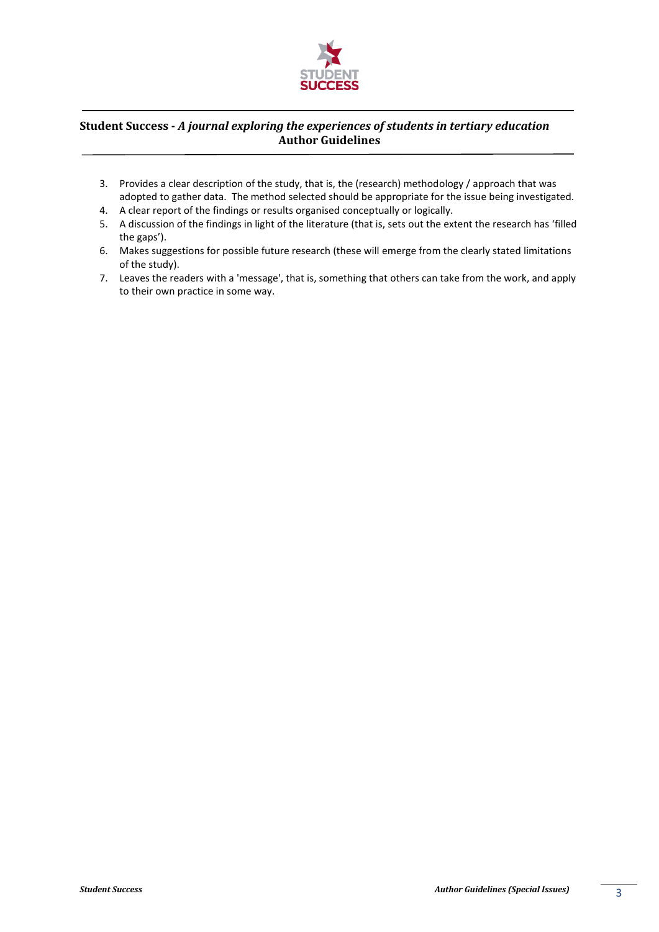

- 3. Provides a clear description of the study, that is, the (research) methodology / approach that was adopted to gather data. The method selected should be appropriate for the issue being investigated.
- 4. A clear report of the findings or results organised conceptually or logically.
- 5. A discussion of the findings in light of the literature (that is, sets out the extent the research has 'filled the gaps').
- 6. Makes suggestions for possible future research (these will emerge from the clearly stated limitations of the study).
- 7. Leaves the readers with a 'message', that is, something that others can take from the work, and apply to their own practice in some way.